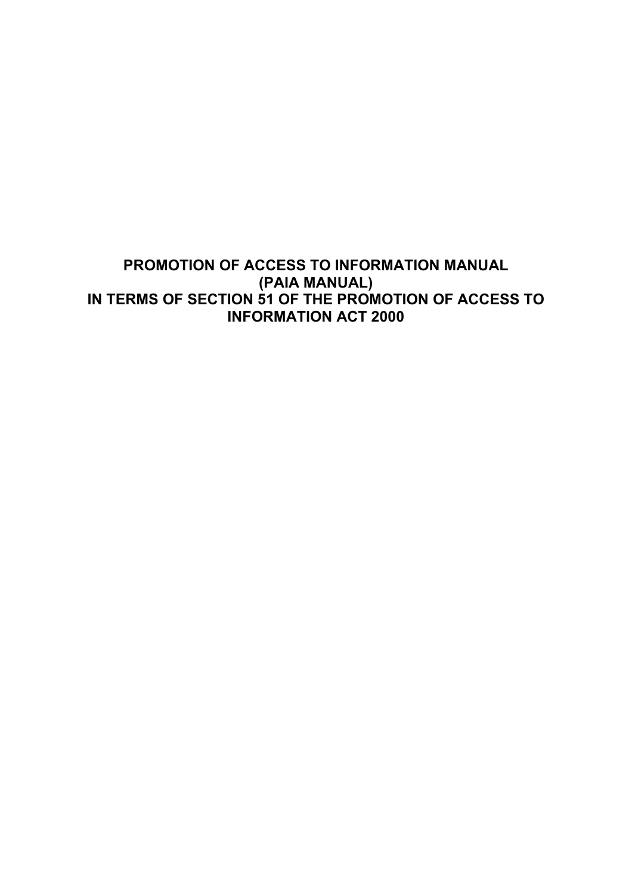# **PROMOTION OF ACCESS TO INFORMATION MANUAL (PAIA MANUAL) IN TERMS OF SECTION 51 OF THE PROMOTION OF ACCESS TO INFORMATION ACT 2000**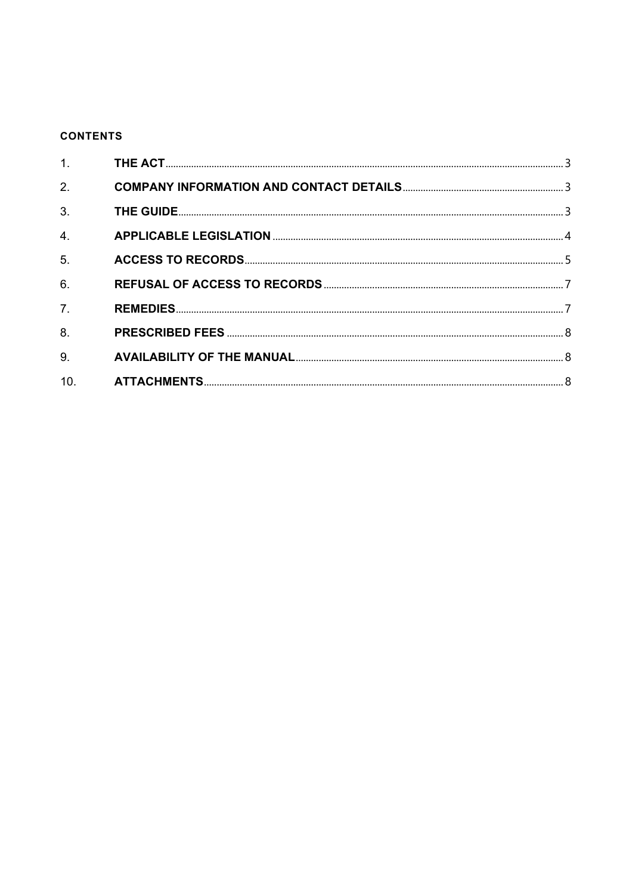# **CONTENTS**

| 1.               |  |
|------------------|--|
| 2.               |  |
| 3.               |  |
| 4.               |  |
| 5.               |  |
| 6.               |  |
| $\overline{7}$ . |  |
| 8.               |  |
| 9.               |  |
| 10.              |  |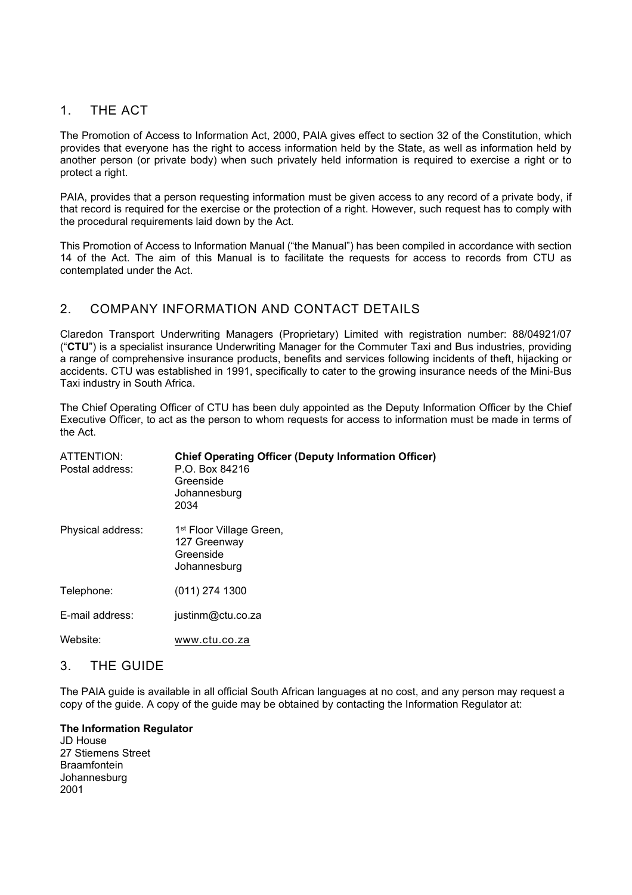## 1. THE ACT

The Promotion of Access to Information Act, 2000, PAIA gives effect to section 32 of the Constitution, which provides that everyone has the right to access information held by the State, as well as information held by another person (or private body) when such privately held information is required to exercise a right or to protect a right.

PAIA, provides that a person requesting information must be given access to any record of a private body, if that record is required for the exercise or the protection of a right. However, such request has to comply with the procedural requirements laid down by the Act.

This Promotion of Access to Information Manual ("the Manual") has been compiled in accordance with section 14 of the Act. The aim of this Manual is to facilitate the requests for access to records from CTU as contemplated under the Act.

# 2. COMPANY INFORMATION AND CONTACT DETAILS

Claredon Transport Underwriting Managers (Proprietary) Limited with registration number: 88/04921/07 ("**CTU**") is a specialist insurance Underwriting Manager for the Commuter Taxi and Bus industries, providing a range of comprehensive insurance products, benefits and services following incidents of theft, hijacking or accidents. CTU was established in 1991, specifically to cater to the growing insurance needs of the Mini-Bus Taxi industry in South Africa.

The Chief Operating Officer of CTU has been duly appointed as the Deputy Information Officer by the Chief Executive Officer, to act as the person to whom requests for access to information must be made in terms of the Act.

| ATTENTION:<br>Postal address: | <b>Chief Operating Officer (Deputy Information Officer)</b><br>P.O. Box 84216<br>Greenside<br>Johannesburg<br>2034 |
|-------------------------------|--------------------------------------------------------------------------------------------------------------------|
| Physical address:             | 1 <sup>st</sup> Floor Village Green,<br>127 Greenway<br>Greenside<br>Johannesburg                                  |
| Telephone:                    | $(011)$ 274 1300                                                                                                   |
| E-mail address:               | justinm@ctu.co.za                                                                                                  |
| Website:                      | www.ctu.co.za                                                                                                      |

### 3. THE GUIDE

The PAIA guide is available in all official South African languages at no cost, and any person may request a copy of the guide. A copy of the guide may be obtained by contacting the Information Regulator at:

**The Information Regulator** JD House 27 Stiemens Street Braamfontein Johannesburg 2001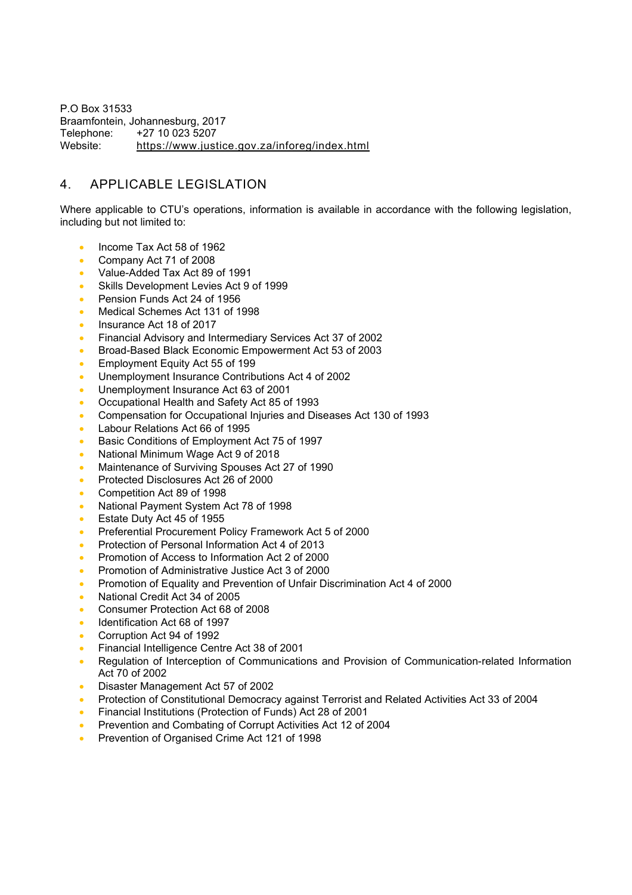P.O Box 31533 Braamfontein, Johannesburg, 2017<br>Telephone: +27 10 023 5207 Telephone: +27 10 023 5207<br>Website: https://www.just <https://www.justice.gov.za/inforeg/index.html>

# 4. APPLICABLE LEGISLATION

Where applicable to CTU's operations, information is available in accordance with the following legislation, including but not limited to:

- Income Tax Act 58 of 1962
- Company Act 71 of 2008
- Value-Added Tax Act 89 of 1991
- Skills Development Levies Act 9 of 1999
- Pension Funds Act 24 of 1956
- Medical Schemes Act 131 of 1998
- Insurance Act 18 of 2017
- Financial Advisory and Intermediary Services Act 37 of 2002
- Broad-Based Black Economic Empowerment Act 53 of 2003
- Employment Equity Act 55 of 199
- Unemployment Insurance Contributions Act 4 of 2002
- Unemployment Insurance Act 63 of 2001
- Occupational Health and Safety Act 85 of 1993
- Compensation for Occupational Injuries and Diseases Act 130 of 1993
- Labour Relations Act 66 of 1995
- Basic Conditions of Employment Act 75 of 1997
- National Minimum Wage Act 9 of 2018
- Maintenance of Surviving Spouses Act 27 of 1990
- Protected Disclosures Act 26 of 2000
- Competition Act 89 of 1998
- National Payment System Act 78 of 1998
- Estate Duty Act 45 of 1955
- Preferential Procurement Policy Framework Act 5 of 2000
- Protection of Personal Information Act 4 of 2013
- Promotion of Access to Information Act 2 of 2000
- Promotion of Administrative Justice Act 3 of 2000
- Promotion of Equality and Prevention of Unfair Discrimination Act 4 of 2000
- National Credit Act 34 of 2005
- Consumer Protection Act 68 of 2008
- Identification Act 68 of 1997
- Corruption Act 94 of 1992
- Financial Intelligence Centre Act 38 of 2001
- Regulation of Interception of Communications and Provision of Communication-related Information Act 70 of 2002
- Disaster Management Act 57 of 2002
- Protection of Constitutional Democracy against Terrorist and Related Activities Act 33 of 2004
- Financial Institutions (Protection of Funds) Act 28 of 2001
- Prevention and Combating of Corrupt Activities Act 12 of 2004
- Prevention of Organised Crime Act 121 of 1998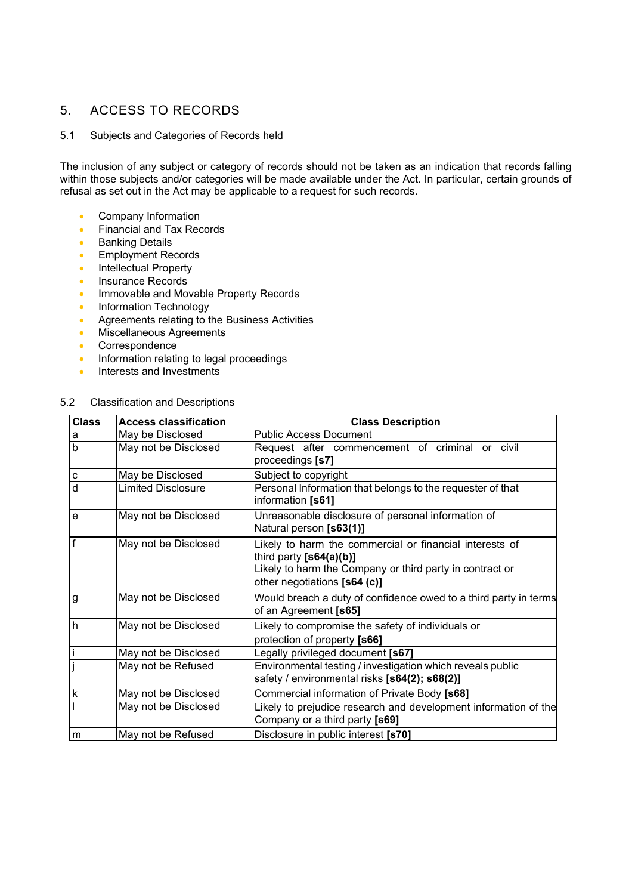# 5. ACCESS TO RECORDS

### 5.1 Subjects and Categories of Records held

The inclusion of any subject or category of records should not be taken as an indication that records falling within those subjects and/or categories will be made available under the Act. In particular, certain grounds of refusal as set out in the Act may be applicable to a request for such records.

- Company Information
- Financial and Tax Records
- Banking Details
- Employment Records
- Intellectual Property
- Insurance Records
- Immovable and Movable Property Records
- Information Technology
- Agreements relating to the Business Activities
- Miscellaneous Agreements
- Correspondence
- Information relating to legal proceedings
- Interests and Investments

### 5.2 Classification and Descriptions

| <b>Class</b>   | <b>Access classification</b> | <b>Class Description</b>                                                                                                                                                         |
|----------------|------------------------------|----------------------------------------------------------------------------------------------------------------------------------------------------------------------------------|
| $\mathsf a$    | May be Disclosed             | <b>Public Access Document</b>                                                                                                                                                    |
| $\overline{b}$ | May not be Disclosed         | Request after commencement of criminal or civil<br>proceedings [s7]                                                                                                              |
| $\mathbf c$    | May be Disclosed             | Subject to copyright                                                                                                                                                             |
| $\overline{d}$ | <b>Limited Disclosure</b>    | Personal Information that belongs to the requester of that<br>information [s61]                                                                                                  |
| $\mathbf e$    | May not be Disclosed         | Unreasonable disclosure of personal information of<br>Natural person [s63(1)]                                                                                                    |
| $\overline{f}$ | May not be Disclosed         | Likely to harm the commercial or financial interests of<br>third party $[s64(a)(b)]$<br>Likely to harm the Company or third party in contract or<br>other negotiations [s64 (c)] |
| g              | May not be Disclosed         | Would breach a duty of confidence owed to a third party in terms<br>of an Agreement [s65]                                                                                        |
| h              | May not be Disclosed         | Likely to compromise the safety of individuals or<br>protection of property [s66]                                                                                                |
|                | May not be Disclosed         | Legally privileged document [s67]                                                                                                                                                |
|                | May not be Refused           | Environmental testing / investigation which reveals public<br>safety / environmental risks [s64(2); s68(2)]                                                                      |
| $\sf k$        | May not be Disclosed         | Commercial information of Private Body [s68]                                                                                                                                     |
|                | May not be Disclosed         | Likely to prejudice research and development information of the<br>Company or a third party [s69]                                                                                |
| m              | May not be Refused           | Disclosure in public interest [s70]                                                                                                                                              |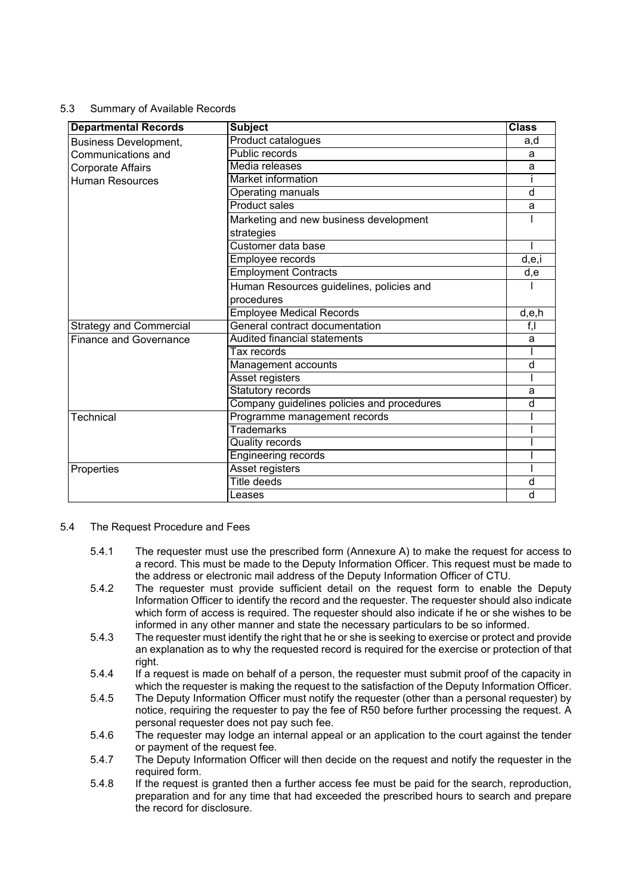### 5.3 Summary of Available Records

| <b>Departmental Records</b>    | <b>Subject</b>                             | <b>Class</b> |
|--------------------------------|--------------------------------------------|--------------|
| <b>Business Development,</b>   | Product catalogues                         | a,d          |
| Communications and             | Public records                             | a            |
| <b>Corporate Affairs</b>       | Media releases                             | a            |
| <b>Human Resources</b>         | <b>Market information</b>                  |              |
|                                | Operating manuals                          | d            |
|                                | Product sales                              | a            |
|                                | Marketing and new business development     |              |
|                                | strategies                                 |              |
|                                | Customer data base                         |              |
|                                | Employee records                           | d,e,i        |
|                                | <b>Employment Contracts</b>                | d,e          |
|                                | Human Resources guidelines, policies and   |              |
|                                | procedures                                 |              |
|                                | <b>Employee Medical Records</b>            | d,e,h        |
| <b>Strategy and Commercial</b> | General contract documentation             | f,           |
| <b>Finance and Governance</b>  | <b>Audited financial statements</b>        | a            |
|                                | Tax records                                |              |
|                                | Management accounts                        | d            |
|                                | Asset registers                            |              |
|                                | <b>Statutory records</b>                   | a            |
|                                | Company guidelines policies and procedures | d            |
| Technical                      | Programme management records               |              |
|                                | Trademarks                                 |              |
|                                | <b>Quality records</b>                     |              |
|                                | <b>Engineering records</b>                 |              |
| Properties                     | <b>Asset registers</b>                     |              |
|                                | Title deeds                                | d            |
|                                | Leases                                     | d            |

- 5.4 The Request Procedure and Fees
	- 5.4.1 The requester must use the prescribed form (Annexure A) to make the request for access to a record. This must be made to the Deputy Information Officer. This request must be made to the address or electronic mail address of the Deputy Information Officer of CTU.
	- 5.4.2 The requester must provide sufficient detail on the request form to enable the Deputy Information Officer to identify the record and the requester. The requester should also indicate which form of access is required. The requester should also indicate if he or she wishes to be informed in any other manner and state the necessary particulars to be so informed.
	- 5.4.3 The requester must identify the right that he or she is seeking to exercise or protect and provide an explanation as to why the requested record is required for the exercise or protection of that right.
	- 5.4.4 If a request is made on behalf of a person, the requester must submit proof of the capacity in which the requester is making the request to the satisfaction of the Deputy Information Officer.
	- 5.4.5 The Deputy Information Officer must notify the requester (other than a personal requester) by notice, requiring the requester to pay the fee of R50 before further processing the request. A personal requester does not pay such fee.
	- 5.4.6 The requester may lodge an internal appeal or an application to the court against the tender or payment of the request fee.
	- 5.4.7 The Deputy Information Officer will then decide on the request and notify the requester in the required form.
	- 5.4.8 If the request is granted then a further access fee must be paid for the search, reproduction, preparation and for any time that had exceeded the prescribed hours to search and prepare the record for disclosure.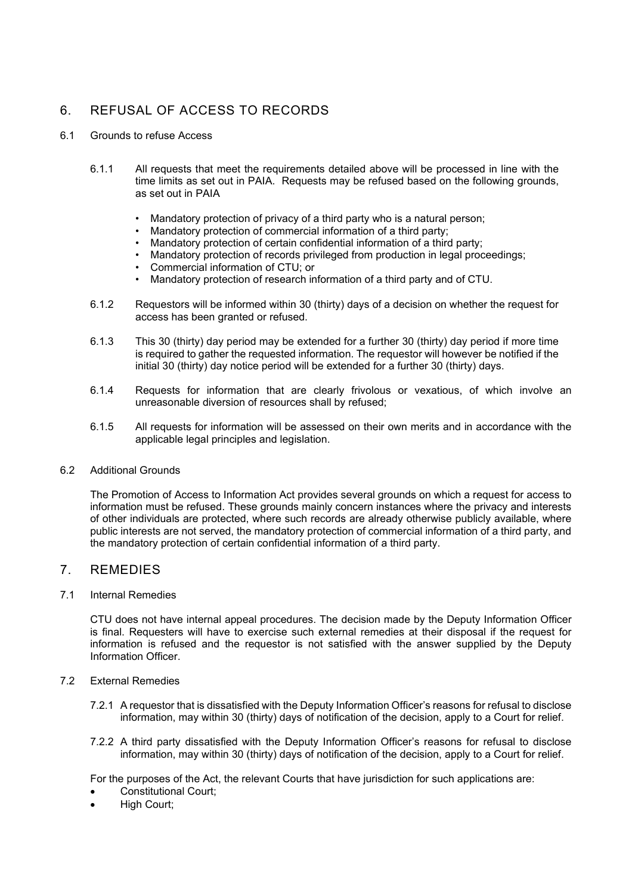# 6. REFUSAL OF ACCESS TO RECORDS

- 6.1 Grounds to refuse Access
	- 6.1.1 All requests that meet the requirements detailed above will be processed in line with the time limits as set out in PAIA. Requests may be refused based on the following grounds, as set out in PAIA
		- Mandatory protection of privacy of a third party who is a natural person;<br>• Mandatory protection of commercial information of a third party:
		- Mandatory protection of commercial information of a third party;<br>• Mandatory protection of certain confidential information of a third
		- Mandatory protection of certain confidential information of a third party;
		- Mandatory protection of records privileged from production in legal proceedings;
		- Commercial information of CTU; or<br>• Mandatory protection of research in
		- Mandatory protection of research information of a third party and of CTU.
	- 6.1.2 Requestors will be informed within 30 (thirty) days of a decision on whether the request for access has been granted or refused.
	- 6.1.3 This 30 (thirty) day period may be extended for a further 30 (thirty) day period if more time is required to gather the requested information. The requestor will however be notified if the initial 30 (thirty) day notice period will be extended for a further 30 (thirty) days.
	- 6.1.4 Requests for information that are clearly frivolous or vexatious, of which involve an unreasonable diversion of resources shall by refused;
	- 6.1.5 All requests for information will be assessed on their own merits and in accordance with the applicable legal principles and legislation.

#### 6.2 Additional Grounds

The Promotion of Access to Information Act provides several grounds on which a request for access to information must be refused. These grounds mainly concern instances where the privacy and interests of other individuals are protected, where such records are already otherwise publicly available, where public interests are not served, the mandatory protection of commercial information of a third party, and the mandatory protection of certain confidential information of a third party.

### 7. REMEDIES

#### 7.1 Internal Remedies

CTU does not have internal appeal procedures. The decision made by the Deputy Information Officer is final. Requesters will have to exercise such external remedies at their disposal if the request for information is refused and the requestor is not satisfied with the answer supplied by the Deputy Information Officer.

#### 7.2 External Remedies

- 7.2.1 A requestor that is dissatisfied with the Deputy Information Officer's reasons for refusal to disclose information, may within 30 (thirty) days of notification of the decision, apply to a Court for relief.
- 7.2.2 A third party dissatisfied with the Deputy Information Officer's reasons for refusal to disclose information, may within 30 (thirty) days of notification of the decision, apply to a Court for relief.

For the purposes of the Act, the relevant Courts that have jurisdiction for such applications are:

- Constitutional Court;
- **High Court;**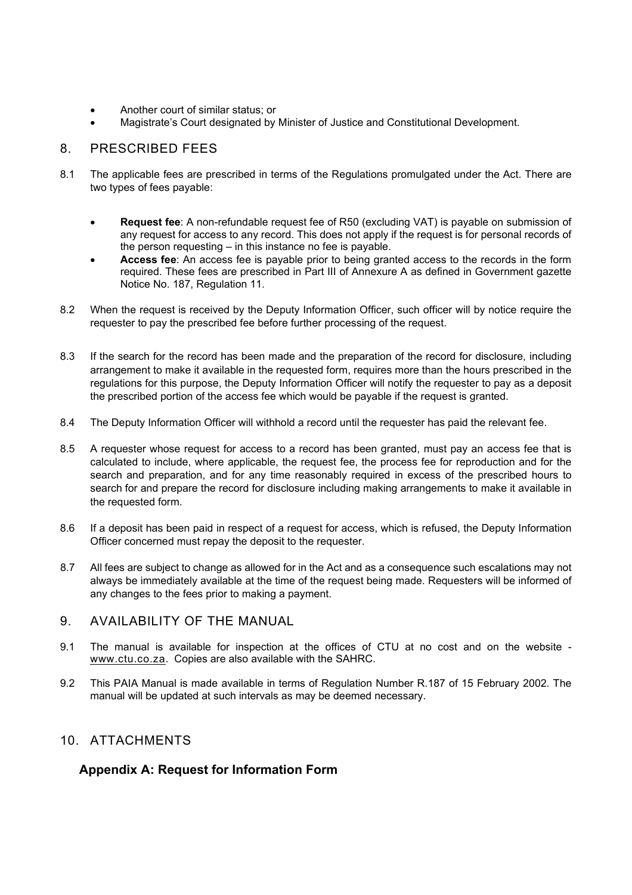- Another court of similar status; or
- Magistrate's Court designated by Minister of Justice and Constitutional Development.

# 8. PRESCRIBED FEES

- 8.1 The applicable fees are prescribed in terms of the Regulations promulgated under the Act. There are two types of fees payable:
	- **Request fee**: A non-refundable request fee of R50 (excluding VAT) is payable on submission of any request for access to any record. This does not apply if the request is for personal records of the person requesting – in this instance no fee is payable.
	- **Access fee**: An access fee is payable prior to being granted access to the records in the form required. These fees are prescribed in Part III of Annexure A as defined in Government gazette Notice No. 187, Regulation 11.
- 8.2 When the request is received by the Deputy Information Officer, such officer will by notice require the requester to pay the prescribed fee before further processing of the request.
- 8.3 If the search for the record has been made and the preparation of the record for disclosure, including arrangement to make it available in the requested form, requires more than the hours prescribed in the regulations for this purpose, the Deputy Information Officer will notify the requester to pay as a deposit the prescribed portion of the access fee which would be payable if the request is granted.
- 8.4 The Deputy Information Officer will withhold a record until the requester has paid the relevant fee.
- 8.5 A requester whose request for access to a record has been granted, must pay an access fee that is calculated to include, where applicable, the request fee, the process fee for reproduction and for the search and preparation, and for any time reasonably required in excess of the prescribed hours to search for and prepare the record for disclosure including making arrangements to make it available in the requested form.
- 8.6 If a deposit has been paid in respect of a request for access, which is refused, the Deputy Information Officer concerned must repay the deposit to the requester.
- 8.7 All fees are subject to change as allowed for in the Act and as a consequence such escalations may not always be immediately available at the time of the request being made. Requesters will be informed of any changes to the fees prior to making a payment.
- 9. AVAILABILITY OF THE MANUAL
- 9.1 The manual is available for inspection at the offices of CTU at no cost and on the website [www.ctu.co.za.](http://www.ctu.co.za/) Copies are also available with the SAHRC.
- 9.2 This PAIA Manual is made available in terms of Regulation Number R.187 of 15 February 2002. The manual will be updated at such intervals as may be deemed necessary.

# 10. ATTACHMENTS

# **Appendix A: Request for Information Form**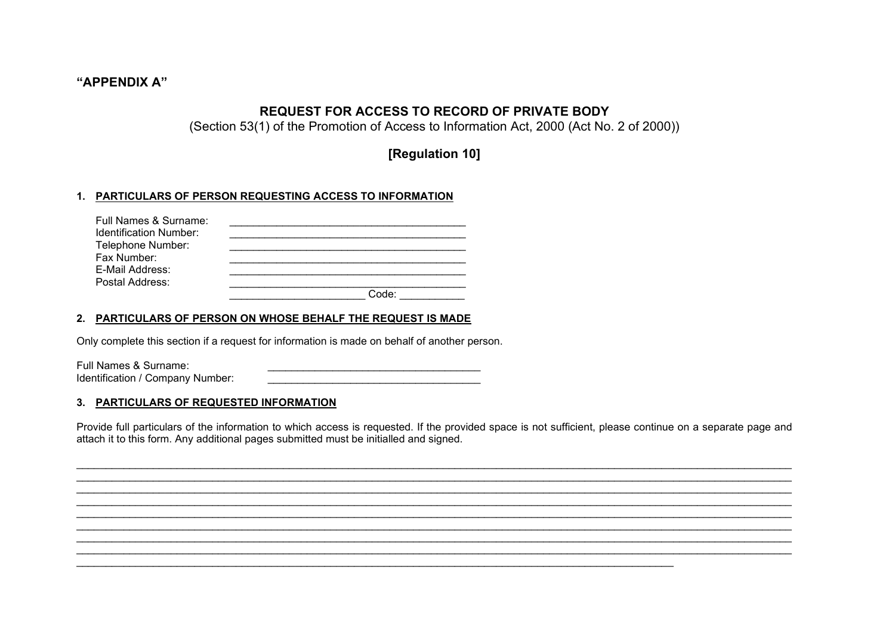### **"APPENDIX A"**

# **REQUEST FOR ACCESS TO RECORD OF PRIVATE BODY**

(Section 53(1) of the Promotion of Access to Information Act, 2000 (Act No. 2 of 2000))

**[Regulation 10]**

### **1. PARTICULARS OF PERSON REQUESTING ACCESS TO INFORMATION**

| Full Names & Surname:  |       |
|------------------------|-------|
| Identification Number: |       |
| Telephone Number:      |       |
| Fax Number:            |       |
| E-Mail Address:        |       |
| Postal Address:        |       |
|                        | Code: |

### **2. PARTICULARS OF PERSON ON WHOSE BEHALF THE REQUEST IS MADE**

Only complete this section if a request for information is made on behalf of another person.

Full Names & Surname: Identification / Company Number:

#### **3. PARTICULARS OF REQUESTED INFORMATION**

Provide full particulars of the information to which access is requested. If the provided space is not sufficient, please continue on a separate page and attach it to this form. Any additional pages submitted must be initialled and signed.

\_\_\_\_\_\_\_\_\_\_\_\_\_\_\_\_\_\_\_\_\_\_\_\_\_\_\_\_\_\_\_\_\_\_\_\_\_\_\_\_\_\_\_\_\_\_\_\_\_\_\_\_\_\_\_\_\_\_\_\_\_\_\_\_\_\_\_\_\_\_\_\_\_\_\_\_\_\_\_\_\_\_\_\_\_\_\_\_\_\_\_\_\_\_\_\_\_\_\_\_\_\_\_\_\_\_\_\_\_\_\_\_\_\_\_\_\_\_\_\_\_ \_\_\_\_\_\_\_\_\_\_\_\_\_\_\_\_\_\_\_\_\_\_\_\_\_\_\_\_\_\_\_\_\_\_\_\_\_\_\_\_\_\_\_\_\_\_\_\_\_\_\_\_\_\_\_\_\_\_\_\_\_\_\_\_\_\_\_\_\_\_\_\_\_\_\_\_\_\_\_\_\_\_\_\_\_\_\_\_\_\_\_\_\_\_\_\_\_\_\_\_\_\_\_\_\_\_\_\_\_\_\_\_\_\_\_\_\_\_\_\_\_ \_\_\_\_\_\_\_\_\_\_\_\_\_\_\_\_\_\_\_\_\_\_\_\_\_\_\_\_\_\_\_\_\_\_\_\_\_\_\_\_\_\_\_\_\_\_\_\_\_\_\_\_\_\_\_\_\_\_\_\_\_\_\_\_\_\_\_\_\_\_\_\_\_\_\_\_\_\_\_\_\_\_\_\_\_\_\_\_\_\_\_\_\_\_\_\_\_\_\_\_\_\_\_\_\_\_\_\_\_\_\_\_\_\_\_\_\_\_\_\_\_ \_\_\_\_\_\_\_\_\_\_\_\_\_\_\_\_\_\_\_\_\_\_\_\_\_\_\_\_\_\_\_\_\_\_\_\_\_\_\_\_\_\_\_\_\_\_\_\_\_\_\_\_\_\_\_\_\_\_\_\_\_\_\_\_\_\_\_\_\_\_\_\_\_\_\_\_\_\_\_\_\_\_\_\_\_\_\_\_\_\_\_\_\_\_\_\_\_\_\_\_\_\_\_\_\_\_\_\_\_\_\_\_\_\_\_\_\_\_\_\_\_ \_\_\_\_\_\_\_\_\_\_\_\_\_\_\_\_\_\_\_\_\_\_\_\_\_\_\_\_\_\_\_\_\_\_\_\_\_\_\_\_\_\_\_\_\_\_\_\_\_\_\_\_\_\_\_\_\_\_\_\_\_\_\_\_\_\_\_\_\_\_\_\_\_\_\_\_\_\_\_\_\_\_\_\_\_\_\_\_\_\_\_\_\_\_\_\_\_\_\_\_\_\_\_\_\_\_\_\_\_\_\_\_\_\_\_\_\_\_\_\_\_ \_\_\_\_\_\_\_\_\_\_\_\_\_\_\_\_\_\_\_\_\_\_\_\_\_\_\_\_\_\_\_\_\_\_\_\_\_\_\_\_\_\_\_\_\_\_\_\_\_\_\_\_\_\_\_\_\_\_\_\_\_\_\_\_\_\_\_\_\_\_\_\_\_\_\_\_\_\_\_\_\_\_\_\_\_\_\_\_\_\_\_\_\_\_\_\_\_\_\_\_\_\_\_\_\_\_\_\_\_\_\_\_\_\_\_\_\_\_\_\_\_ \_\_\_\_\_\_\_\_\_\_\_\_\_\_\_\_\_\_\_\_\_\_\_\_\_\_\_\_\_\_\_\_\_\_\_\_\_\_\_\_\_\_\_\_\_\_\_\_\_\_\_\_\_\_\_\_\_\_\_\_\_\_\_\_\_\_\_\_\_\_\_\_\_\_\_\_\_\_\_\_\_\_\_\_\_\_\_\_\_\_\_\_\_\_\_\_\_\_\_\_\_\_\_\_\_\_\_\_\_\_\_\_\_\_\_\_\_\_\_\_\_ \_\_\_\_\_\_\_\_\_\_\_\_\_\_\_\_\_\_\_\_\_\_\_\_\_\_\_\_\_\_\_\_\_\_\_\_\_\_\_\_\_\_\_\_\_\_\_\_\_\_\_\_\_\_\_\_\_\_\_\_\_\_\_\_\_\_\_\_\_\_\_\_\_\_\_\_\_\_\_\_\_\_\_\_\_\_\_\_\_\_\_\_\_\_\_\_\_\_\_\_\_\_\_\_\_\_\_\_\_\_\_\_\_\_\_\_\_\_\_\_\_

\_\_\_\_\_\_\_\_\_\_\_\_\_\_\_\_\_\_\_\_\_\_\_\_\_\_\_\_\_\_\_\_\_\_\_\_\_\_\_\_\_\_\_\_\_\_\_\_\_\_\_\_\_\_\_\_\_\_\_\_\_\_\_\_\_\_\_\_\_\_\_\_\_\_\_\_\_\_\_\_\_\_\_\_\_\_\_\_\_\_\_\_\_\_\_\_\_\_\_\_\_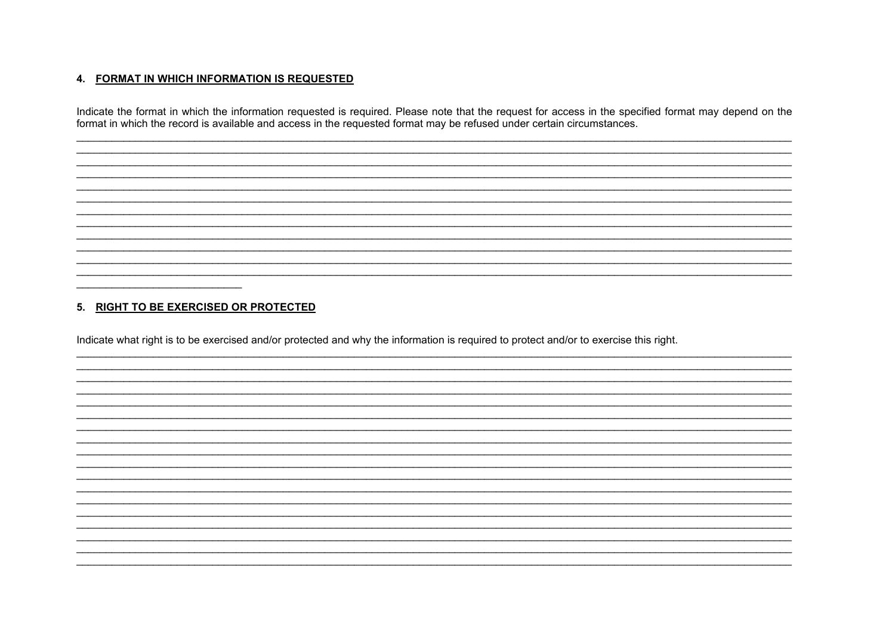#### 4. FORMAT IN WHICH INFORMATION IS REQUESTED

Indicate the format in which the information requested is required. Please note that the request for access in the specified format may depend on the<br>format in which the record is available and access in the requested form

### 5. RIGHT TO BE EXERCISED OR PROTECTED

 $\overline{\phantom{0}}$ 

Indicate what right is to be exercised and/or protected and why the information is required to protect and/or to exercise this right.